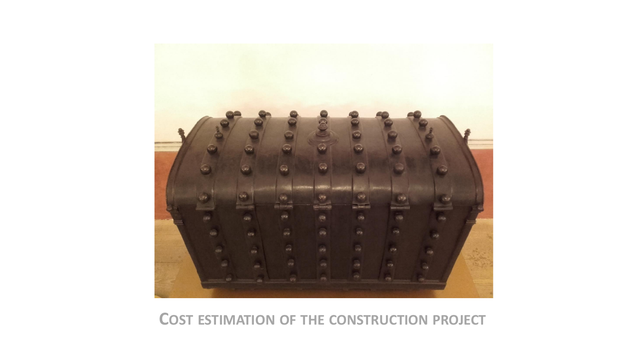

#### **COST ESTIMATION OF THE CONSTRUCTION PROJECT**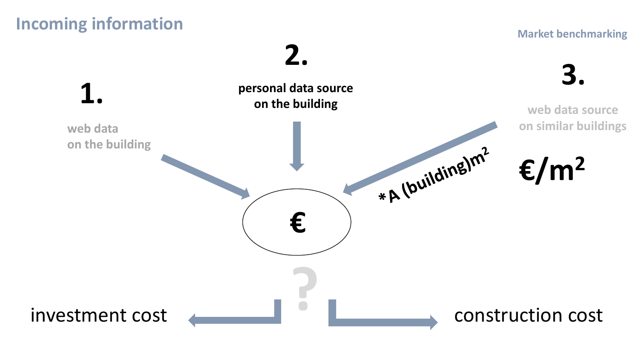### **Incoming information**

#### **Market benchmarking**

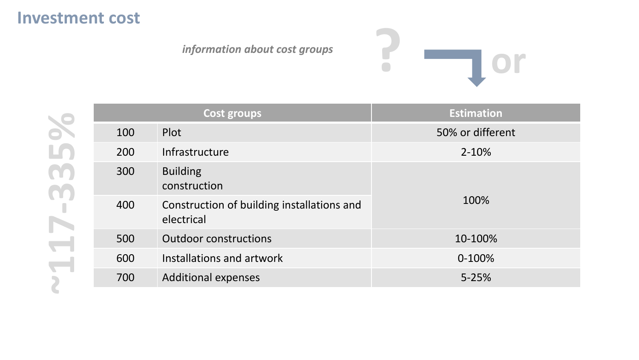### **Investment cost**

*information about cost groups*



|     | <b>Cost groups</b>                                       | <b>Estimation</b> |  |  |
|-----|----------------------------------------------------------|-------------------|--|--|
| 100 | Plot                                                     | 50% or different  |  |  |
| 200 | Infrastructure                                           | $2 - 10%$         |  |  |
| 300 | <b>Building</b><br>construction                          |                   |  |  |
| 400 | Construction of building installations and<br>electrical | 100%              |  |  |
| 500 | <b>Outdoor constructions</b>                             | 10-100%           |  |  |
| 600 | Installations and artwork                                | $0-100%$          |  |  |
| 700 | <b>Additional expenses</b>                               | $5 - 25%$         |  |  |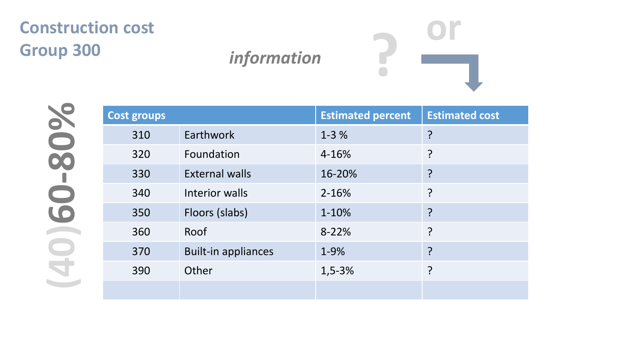## **Construction cost Group 300** *<i>information*



**Estimated cost** 

|                  | <b>Cost groups</b> |                            | <b>Estimated percent</b> | E |
|------------------|--------------------|----------------------------|--------------------------|---|
|                  | 310                | Earthwork                  | $1 - 3%$                 | ? |
| $\bullet\bullet$ | 320                | Foundation                 | 4-16%                    | ? |
|                  | 330                | <b>External walls</b>      | 16-20%                   | ? |
| $\Box$           | 340                | Interior walls             | 2-16%                    |   |
| LO               | 350                | Floors (slabs)             | 1-10%                    | ? |
|                  | 360                | Roof                       | 8-22%                    | ? |
|                  | 370                | <b>Built-in appliances</b> | 1-9%                     | ? |
|                  | 390                | Other                      | $1,5-3%$                 | ? |
|                  |                    |                            |                          |   |